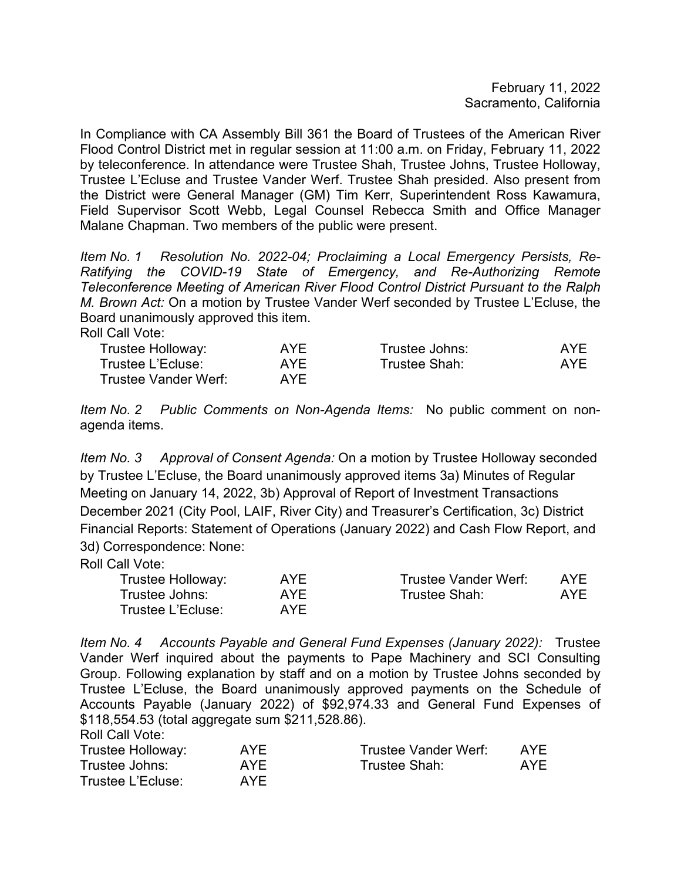February 11, 2022 Sacramento, California

In Compliance with CA Assembly Bill 361 the Board of Trustees of the American River Flood Control District met in regular session at 11:00 a.m. on Friday, February 11, 2022 by teleconference. In attendance were Trustee Shah, Trustee Johns, Trustee Holloway, Trustee L'Ecluse and Trustee Vander Werf. Trustee Shah presided. Also present from the District were General Manager (GM) Tim Kerr, Superintendent Ross Kawamura, Field Supervisor Scott Webb, Legal Counsel Rebecca Smith and Office Manager Malane Chapman. Two members of the public were present.

*Item No. 1 Resolution No. 2022-04; Proclaiming a Local Emergency Persists, Re-Ratifying the COVID-19 State of Emergency, and Re-Authorizing Remote Teleconference Meeting of American River Flood Control District Pursuant to the Ralph M. Brown Act:* On a motion by Trustee Vander Werf seconded by Trustee L'Ecluse, the Board unanimously approved this item.

Roll Call Vote:

| Trustee Holloway:    | <b>AYF</b> | Trustee Johns: | AYF |
|----------------------|------------|----------------|-----|
| Trustee L'Ecluse:    | AYF        | Trustee Shah:  | AYF |
| Trustee Vander Werf: | AYF.       |                |     |

*Item No. 2 Public Comments on Non-Agenda Items:* No public comment on nonagenda items.

*Item No. 3 Approval of Consent Agenda:* On a motion by Trustee Holloway seconded by Trustee L'Ecluse, the Board unanimously approved items 3a) Minutes of Regular Meeting on January 14, 2022, 3b) Approval of Report of Investment Transactions December 2021 (City Pool, LAIF, River City) and Treasurer's Certification, 3c) District Financial Reports: Statement of Operations (January 2022) and Cash Flow Report, and 3d) Correspondence: None:

Roll Call Vote:

| Trustee Holloway: | <b>AYE</b> | Trustee Vander Werf: | AYF |
|-------------------|------------|----------------------|-----|
| Trustee Johns:    | AYF        | Trustee Shah:        | AYF |
| Trustee L'Ecluse: | AYF        |                      |     |

*Item No. 4 Accounts Payable and General Fund Expenses (January 2022):* Trustee Vander Werf inquired about the payments to Pape Machinery and SCI Consulting Group. Following explanation by staff and on a motion by Trustee Johns seconded by Trustee L'Ecluse, the Board unanimously approved payments on the Schedule of Accounts Payable (January 2022) of \$92,974.33 and General Fund Expenses of \$118,554.53 (total aggregate sum \$211,528.86). Roll Call Vote:

| <b>AYF</b> | Trustee Vander Werf: | AYF |
|------------|----------------------|-----|
| AYF.       | Trustee Shah:        | AYF |
| <b>AYF</b> |                      |     |
|            |                      |     |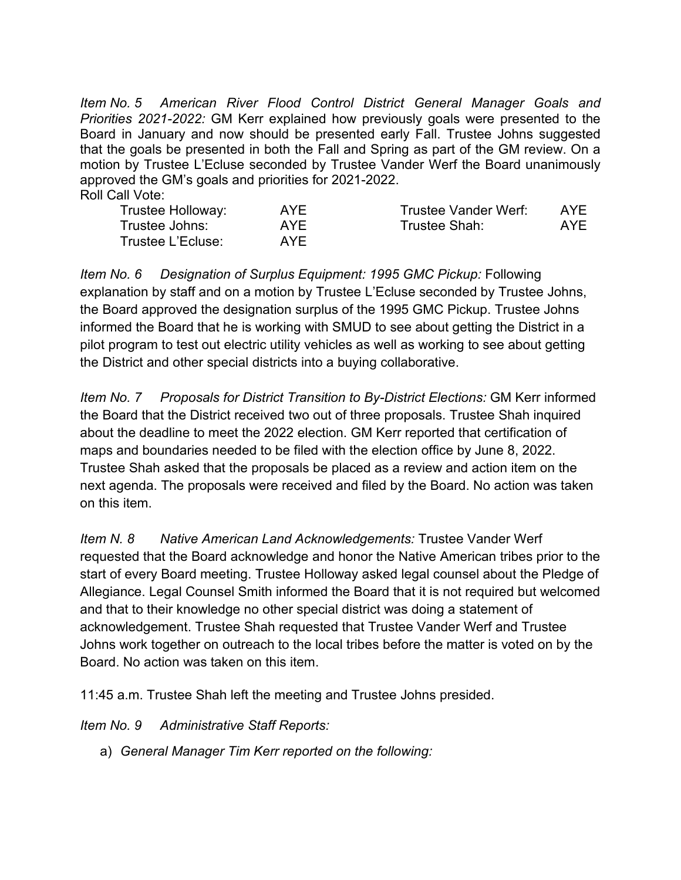*Item No. 5 American River Flood Control District General Manager Goals and Priorities 2021-2022:* GM Kerr explained how previously goals were presented to the Board in January and now should be presented early Fall. Trustee Johns suggested that the goals be presented in both the Fall and Spring as part of the GM review. On a motion by Trustee L'Ecluse seconded by Trustee Vander Werf the Board unanimously approved the GM's goals and priorities for 2021-2022. Roll Call Vote:

| Trustee Holloway: | AYF | Trustee Vander Werf: | AYE |
|-------------------|-----|----------------------|-----|
| Trustee Johns:    | AYF | Trustee Shah:        | AYE |
| Trustee L'Ecluse: | AYF |                      |     |

*Item No. 6 Designation of Surplus Equipment: 1995 GMC Pickup:* Following explanation by staff and on a motion by Trustee L'Ecluse seconded by Trustee Johns, the Board approved the designation surplus of the 1995 GMC Pickup. Trustee Johns informed the Board that he is working with SMUD to see about getting the District in a pilot program to test out electric utility vehicles as well as working to see about getting the District and other special districts into a buying collaborative.

*Item No. 7 Proposals for District Transition to By-District Elections:* GM Kerr informed the Board that the District received two out of three proposals. Trustee Shah inquired about the deadline to meet the 2022 election. GM Kerr reported that certification of maps and boundaries needed to be filed with the election office by June 8, 2022. Trustee Shah asked that the proposals be placed as a review and action item on the next agenda. The proposals were received and filed by the Board. No action was taken on this item.

*Item N. 8 Native American Land Acknowledgements:* Trustee Vander Werf requested that the Board acknowledge and honor the Native American tribes prior to the start of every Board meeting. Trustee Holloway asked legal counsel about the Pledge of Allegiance. Legal Counsel Smith informed the Board that it is not required but welcomed and that to their knowledge no other special district was doing a statement of acknowledgement. Trustee Shah requested that Trustee Vander Werf and Trustee Johns work together on outreach to the local tribes before the matter is voted on by the Board. No action was taken on this item.

11:45 a.m. Trustee Shah left the meeting and Trustee Johns presided.

*Item No. 9 Administrative Staff Reports:*

a) *General Manager Tim Kerr reported on the following:*